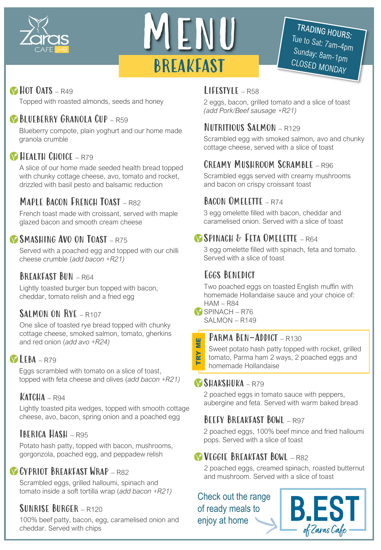



# TRADING HOURS: Tue to Sat: 7am-4pm Sunday: 8am-4pi<br>Cl OSER : CLOSED MONDAY

# HOT OATS - R49

Topped with roasted almonds, seeds and honey

# BLUEBERRY GRANOLA CUP – R59

Blueberry compote, plain yoghurt and our home made granola crumble

# **HEALTH CHOICE - R79**

A slice of our home made seeded health bread topped with chunky cottage cheese, avo, tomato and rocket, drizzled with basil pesto and balsamic reduction

# MAPLE BACON ERENCH TOAST - R82

French toast made with croissant, served with maple glazed bacon and smooth cream cheese

# SMASHING AVO ON TOAST - R75

Served with a poached egg and topped with our chilli cheese crumble (*add bacon +R21)*

# BREAKFAST BUN - R64

Lightly toasted burger bun topped with bacon, cheddar, tomato relish and a fried egg

# SALMON ON RYE – R107

One slice of toasted rye bread topped with chunky cottage cheese, smoked salmon, tomato, gherkins and red onion (*add avo +R24)*

# $VLEBA - R79$

Eggs scrambled with tomato on a slice of toast, topped with feta cheese and olives (*add bacon +R21)*

Lightly toasted pita wedges, topped with smooth cottage cheese, avo, bacon, spring onion and a poached egg

# Iberica Hash – R95

Potato hash patty, topped with bacon, mushrooms, gorgonzola, poached egg, and peppadew relish

# CYPRIOT BREAKFAST WRAP - R82

Scrambled eggs, grilled halloumi, spinach and tomato inside a soft tortilla wrap (*add bacon +R21)*

# Sunrise Burger – R120

100% beef patty, bacon, egg, caramelised onion and cheddar. Served with chips

# $L$ IFFSTYLE – R58

2 eggs, bacon, grilled tomato and a slice of toast *(add Pork/Beef sausage +R21)*

# Nutritious Salmon – R129

Scrambled egg with smoked salmon, avo and chunky cottage cheese, served with a slice of toast

# Creamy Mushroom Scramble – R96

Scrambled eggs served with creamy mushrooms and bacon on crispy croissant toast

# BACON OMELETTE – R74

3 egg omelette filled with bacon, cheddar and caramelised onion. Served with a slice of toast

# Spinach & Feta Omelette – R64

3 egg omelette filled with spinach, feta and tomato. Served with a slice of toast

# Eggs Benedict

Two poached eggs on toasted English muffin with homemade Hollandaise sauce and your choice of:  $HAM - R84$ 

SPINACH – R76 SALMON – R149

TRY ME

TRY

빌<br>토

# PARMA BEN-ADDICT - R130

Sweet potato hash patty topped with rocket, grilled tomato, Parma ham 2 ways, 2 poached eggs and homemade Hollandaise

# Shakshuka – R79

2 poached eggs in tomato sauce with peppers, **KATCHA** – R94 **EXECUTE:** The same of the server and fetal Served with warm baked bread in the same of the same of the same of the same of the same of the same of the same of the same of the same of the same of the same of

# BEEFY BREAKFAST BOWL - R97

2 poached eggs, 100% beef mince and fried halloumi pops. Served with a slice of toast

# Veggie Breakfast Bowl – R82

2 poached eggs, creamed spinach, roasted butternut and mushroom. Served with a slice of toast

Check out the range of ready meals to enjoy at home